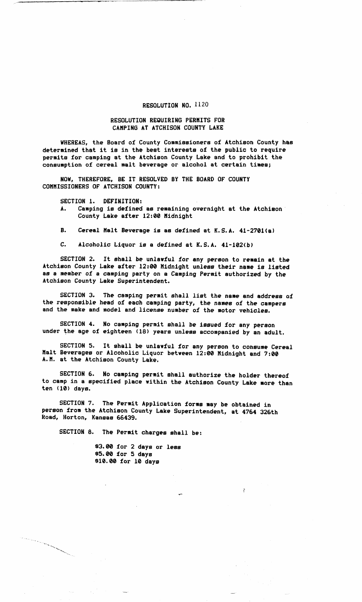## **RESOLUTION NO.** 1120

## **RESOLUTION REQUIRING PERMITS FOR CAMPING AT ATCHISON COUNTY LAKE**

**WHEREAS, the Board of County Commissioners of Atchison County has determined that it is in the best interests of the public to require permits for camping at the Atchison County Lake and to prohibit the consumption of cereal malt beverage or alcohol at certain times;** 

**NOW, THEREFORE, BE IT RESOLVED BY THE BOARD OF COUNTY COMMISSIONERS OF ATCHISON COUNTY:** 

**SECTION 1. DEFINITION:** 

- **A. Camping is defined as remaining overnight at the Atchison County Lake after 12:00 Midnight**
- **B. Cereal Malt Beverage is as defined at K.S.A. 41-2701(a)**
- **C. Alcoholic Liquor is a defined at K.S.A. 41-102(b)**

**SECTION 2. It shall be unlawful for any person to remain at the Atchison County Lake after 12:00 Midnight unless their name is listed as a member of a camping party on a Camping Permit authorized by the Atchison County Lake Superintendent.** 

**SECTION 3. The camping permit shall list the name and address of the responsible head of each camping party, the names of the campers and the make and model and license number of the motor vehicles.** 

**SECTION 4. No camping permit shall be issued for any person under the age of eighteen (18) years unless accompanied by an adult.** 

**SECTION 5. It shall be unlawful for any person to consume Cereal Malt Beverages or Alcoholic Liquor between 12:00 Midnight and 7:00 A.M. at the Atchison County Lake.** 

**SECTION 6. No camping permit shall authorize the holder thereof to camp in a specified place within the Atchison County Lake more than ten (10) days.** 

 $\mathbf{y}$ 

**SECTION 7. The Permit Application forms may be obtained in person from the Atchison County Lake Superintendent, at 4764 326th Road, Horton, Kansas 66439.** 

**SECTION 8. The Permit charges shall be:** 

a matanggal na kalawang katalog ng Pangalang ng Pangalang ng Pangalang ng Pangalang ng Pangalang ng Pangalang

**\$3.00 for 2 days or less \$5.00 for 5 days \$10.00 for 10 days**